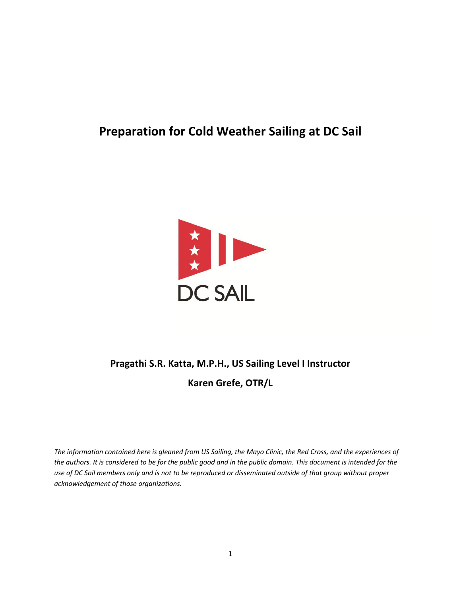## **Preparation for Cold Weather Sailing at DC Sail**



# **Pragathi S.R. Katta, M.P.H., US Sailing Level I Instructor Karen Grefe, OTR/L**

*The information contained here is gleaned from US Sailing, the Mayo Clinic, the Red Cross, and the experiences of the authors. It is considered to be for the public good and in the public domain. This document is intended for the use of DC Sail members only and is not to be reproduced or disseminated outside of that group without proper acknowledgement of those organizations.*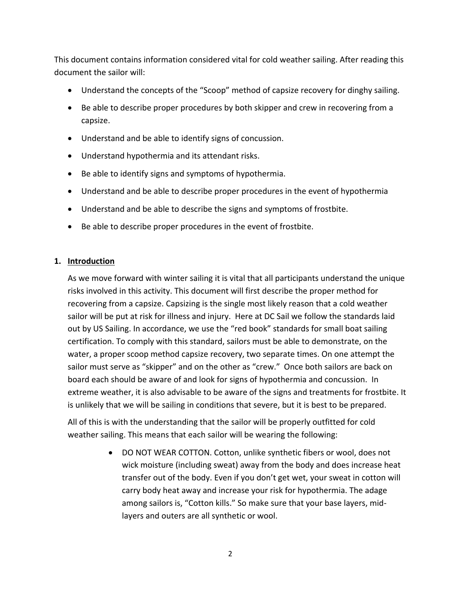This document contains information considered vital for cold weather sailing. After reading this document the sailor will:

- Understand the concepts of the "Scoop" method of capsize recovery for dinghy sailing.
- Be able to describe proper procedures by both skipper and crew in recovering from a capsize.
- Understand and be able to identify signs of concussion.
- Understand hypothermia and its attendant risks.
- Be able to identify signs and symptoms of hypothermia.
- Understand and be able to describe proper procedures in the event of hypothermia
- Understand and be able to describe the signs and symptoms of frostbite.
- Be able to describe proper procedures in the event of frostbite.

#### **1. Introduction**

As we move forward with winter sailing it is vital that all participants understand the unique risks involved in this activity. This document will first describe the proper method for recovering from a capsize. Capsizing is the single most likely reason that a cold weather sailor will be put at risk for illness and injury. Here at DC Sail we follow the standards laid out by US Sailing. In accordance, we use the "red book" standards for small boat sailing certification. To comply with this standard, sailors must be able to demonstrate, on the water, a proper scoop method capsize recovery, two separate times. On one attempt the sailor must serve as "skipper" and on the other as "crew." Once both sailors are back on board each should be aware of and look for signs of hypothermia and concussion. In extreme weather, it is also advisable to be aware of the signs and treatments for frostbite. It is unlikely that we will be sailing in conditions that severe, but it is best to be prepared.

All of this is with the understanding that the sailor will be properly outfitted for cold weather sailing. This means that each sailor will be wearing the following:

> DO NOT WEAR COTTON. Cotton, unlike synthetic fibers or wool, does not wick moisture (including sweat) away from the body and does increase heat transfer out of the body. Even if you don't get wet, your sweat in cotton will carry body heat away and increase your risk for hypothermia. The adage among sailors is, "Cotton kills." So make sure that your base layers, midlayers and outers are all synthetic or wool.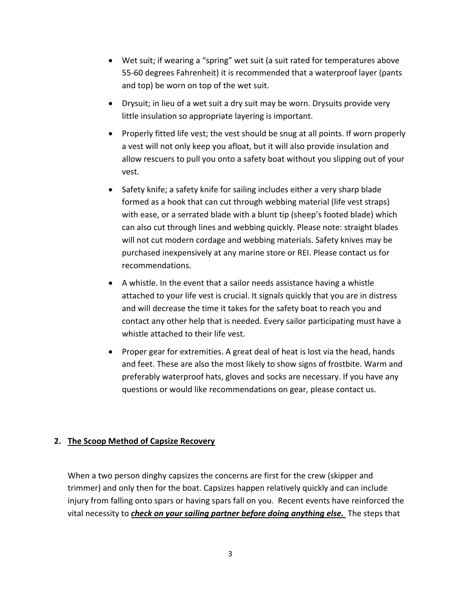- Wet suit; if wearing a "spring" wet suit (a suit rated for temperatures above 55-60 degrees Fahrenheit) it is recommended that a waterproof layer (pants and top) be worn on top of the wet suit.
- Drysuit; in lieu of a wet suit a dry suit may be worn. Drysuits provide very little insulation so appropriate layering is important.
- Properly fitted life vest; the vest should be snug at all points. If worn properly a vest will not only keep you afloat, but it will also provide insulation and allow rescuers to pull you onto a safety boat without you slipping out of your vest.
- Safety knife; a safety knife for sailing includes either a very sharp blade formed as a hook that can cut through webbing material (life vest straps) with ease, or a serrated blade with a blunt tip (sheep's footed blade) which can also cut through lines and webbing quickly. Please note: straight blades will not cut modern cordage and webbing materials. Safety knives may be purchased inexpensively at any marine store or REI. Please contact us for recommendations.
- A whistle. In the event that a sailor needs assistance having a whistle attached to your life vest is crucial. It signals quickly that you are in distress and will decrease the time it takes for the safety boat to reach you and contact any other help that is needed. Every sailor participating must have a whistle attached to their life vest.
- Proper gear for extremities. A great deal of heat is lost via the head, hands and feet. These are also the most likely to show signs of frostbite. Warm and preferably waterproof hats, gloves and socks are necessary. If you have any questions or would like recommendations on gear, please contact us.

#### **2. The Scoop Method of Capsize Recovery**

When a two person dinghy capsizes the concerns are first for the crew (skipper and trimmer) and only then for the boat. Capsizes happen relatively quickly and can include injury from falling onto spars or having spars fall on you. Recent events have reinforced the vital necessity to *check on your sailing partner before doing anything else.* The steps that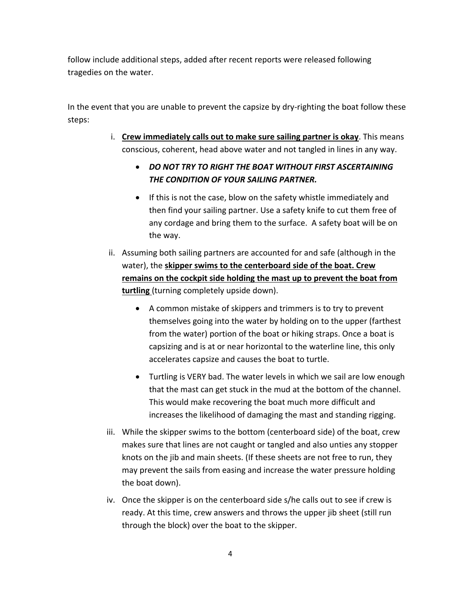follow include additional steps, added after recent reports were released following tragedies on the water.

In the event that you are unable to prevent the capsize by dry-righting the boat follow these steps:

- i. **Crew immediately calls out to make sure sailing partner is okay**. This means conscious, coherent, head above water and not tangled in lines in any way.
	- *DO NOT TRY TO RIGHT THE BOAT WITHOUT FIRST ASCERTAINING THE CONDITION OF YOUR SAILING PARTNER.*
	- If this is not the case, blow on the safety whistle immediately and then find your sailing partner. Use a safety knife to cut them free of any cordage and bring them to the surface. A safety boat will be on the way.
- ii. Assuming both sailing partners are accounted for and safe (although in the water), the **skipper swims to the centerboard side of the boat. Crew remains on the cockpit side holding the mast up to prevent the boat from turtling** (turning completely upside down).
	- A common mistake of skippers and trimmers is to try to prevent themselves going into the water by holding on to the upper (farthest from the water) portion of the boat or hiking straps. Once a boat is capsizing and is at or near horizontal to the waterline line, this only accelerates capsize and causes the boat to turtle.
	- Turtling is VERY bad. The water levels in which we sail are low enough that the mast can get stuck in the mud at the bottom of the channel. This would make recovering the boat much more difficult and increases the likelihood of damaging the mast and standing rigging.
- iii. While the skipper swims to the bottom (centerboard side) of the boat, crew makes sure that lines are not caught or tangled and also unties any stopper knots on the jib and main sheets. (If these sheets are not free to run, they may prevent the sails from easing and increase the water pressure holding the boat down).
- iv. Once the skipper is on the centerboard side s/he calls out to see if crew is ready. At this time, crew answers and throws the upper jib sheet (still run through the block) over the boat to the skipper.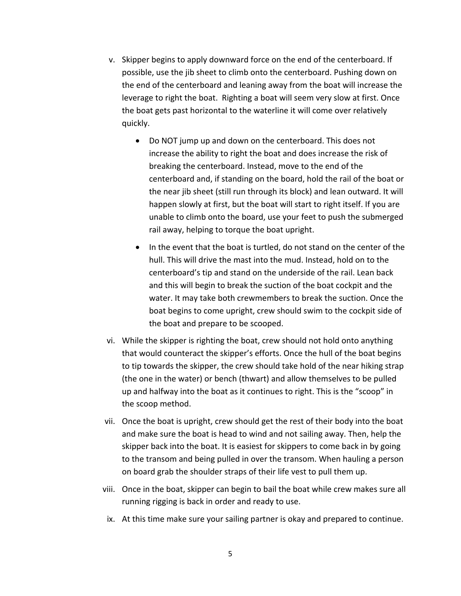- v. Skipper begins to apply downward force on the end of the centerboard. If possible, use the jib sheet to climb onto the centerboard. Pushing down on the end of the centerboard and leaning away from the boat will increase the leverage to right the boat. Righting a boat will seem very slow at first. Once the boat gets past horizontal to the waterline it will come over relatively quickly.
	- Do NOT jump up and down on the centerboard. This does not increase the ability to right the boat and does increase the risk of breaking the centerboard. Instead, move to the end of the centerboard and, if standing on the board, hold the rail of the boat or the near jib sheet (still run through its block) and lean outward. It will happen slowly at first, but the boat will start to right itself. If you are unable to climb onto the board, use your feet to push the submerged rail away, helping to torque the boat upright.
	- In the event that the boat is turtled, do not stand on the center of the hull. This will drive the mast into the mud. Instead, hold on to the centerboard's tip and stand on the underside of the rail. Lean back and this will begin to break the suction of the boat cockpit and the water. It may take both crewmembers to break the suction. Once the boat begins to come upright, crew should swim to the cockpit side of the boat and prepare to be scooped.
- vi. While the skipper is righting the boat, crew should not hold onto anything that would counteract the skipper's efforts. Once the hull of the boat begins to tip towards the skipper, the crew should take hold of the near hiking strap (the one in the water) or bench (thwart) and allow themselves to be pulled up and halfway into the boat as it continues to right. This is the "scoop" in the scoop method.
- vii. Once the boat is upright, crew should get the rest of their body into the boat and make sure the boat is head to wind and not sailing away. Then, help the skipper back into the boat. It is easiest for skippers to come back in by going to the transom and being pulled in over the transom. When hauling a person on board grab the shoulder straps of their life vest to pull them up.
- viii. Once in the boat, skipper can begin to bail the boat while crew makes sure all running rigging is back in order and ready to use.
- ix. At this time make sure your sailing partner is okay and prepared to continue.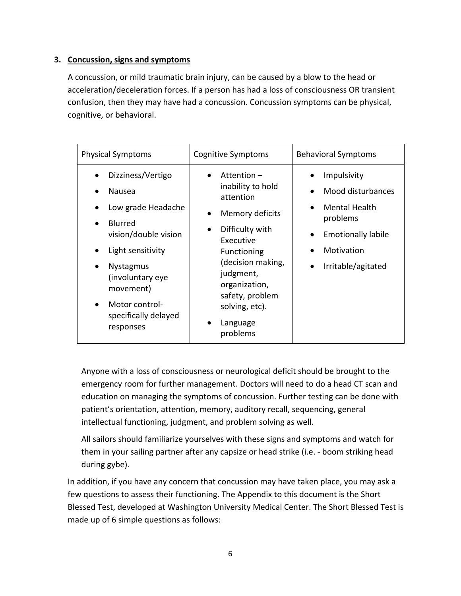#### **3. Concussion, signs and symptoms**

A concussion, or mild traumatic brain injury, can be caused by a blow to the head or acceleration/deceleration forces. If a person has had a loss of consciousness OR transient confusion, then they may have had a concussion. Concussion symptoms can be physical, cognitive, or behavioral.

| Physical Symptoms                                                                                                                                                                                                                         | <b>Cognitive Symptoms</b>                                                                                                                                                                                                                      | <b>Behavioral Symptoms</b>                                                                                                            |
|-------------------------------------------------------------------------------------------------------------------------------------------------------------------------------------------------------------------------------------------|------------------------------------------------------------------------------------------------------------------------------------------------------------------------------------------------------------------------------------------------|---------------------------------------------------------------------------------------------------------------------------------------|
| Dizziness/Vertigo<br>Nausea<br>Low grade Headache<br><b>Blurred</b><br>vision/double vision<br>Light sensitivity<br><b>Nystagmus</b><br>(involuntary eye<br>movement)<br>Motor control-<br>$\bullet$<br>specifically delayed<br>responses | Attention $-$<br>inability to hold<br>attention<br>Memory deficits<br>Difficulty with<br>$\bullet$<br>Executive<br>Functioning<br>(decision making,<br>judgment,<br>organization,<br>safety, problem<br>solving, etc).<br>Language<br>problems | Impulsivity<br>Mood disturbances<br><b>Mental Health</b><br>problems<br><b>Emotionally labile</b><br>Motivation<br>Irritable/agitated |

Anyone with a loss of consciousness or neurological deficit should be brought to the emergency room for further management. Doctors will need to do a head CT scan and education on managing the symptoms of concussion. Further testing can be done with patient's orientation, attention, memory, auditory recall, sequencing, general intellectual functioning, judgment, and problem solving as well.

All sailors should familiarize yourselves with these signs and symptoms and watch for them in your sailing partner after any capsize or head strike (i.e. - boom striking head during gybe).

In addition, if you have any concern that concussion may have taken place, you may ask a few questions to assess their functioning. The Appendix to this document is the Short Blessed Test, developed at Washington University Medical Center. The Short Blessed Test is made up of 6 simple questions as follows: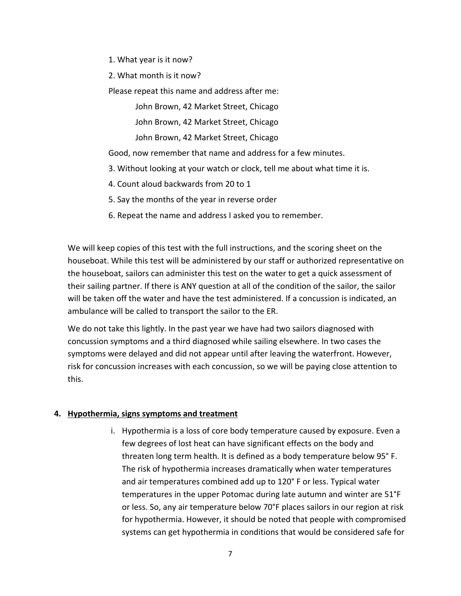1. What year is it now?

2. What month is it now?

Please repeat this name and address after me:

John Brown, 42 Market Street, Chicago

John Brown, 42 Market Street, Chicago

John Brown, 42 Market Street, Chicago

Good, now remember that name and address for a few minutes.

- 3. Without looking at your watch or clock, tell me about what time it is.
- 4. Count aloud backwards from 20 to 1
- 5. Say the months of the year in reverse order
- 6. Repeat the name and address I asked you to remember.

We will keep copies of this test with the full instructions, and the scoring sheet on the houseboat. While this test will be administered by our staff or authorized representative on the houseboat, sailors can administer this test on the water to get a quick assessment of their sailing partner. If there is ANY question at all of the condition of the sailor, the sailor will be taken off the water and have the test administered. If a concussion is indicated, an ambulance will be called to transport the sailor to the ER.

We do not take this lightly. In the past year we have had two sailors diagnosed with concussion symptoms and a third diagnosed while sailing elsewhere. In two cases the symptoms were delayed and did not appear until after leaving the waterfront. However, risk for concussion increases with each concussion, so we will be paying close attention to this.

#### **4. Hypothermia, signs symptoms and treatment**

i. Hypothermia is a loss of core body temperature caused by exposure. Even a few degrees of lost heat can have significant effects on the body and threaten long term health. It is defined as a body temperature below 95° F. The risk of hypothermia increases dramatically when water temperatures and air temperatures combined add up to 120° F or less. Typical water temperatures in the upper Potomac during late autumn and winter are 51°F or less. So, any air temperature below 70°F places sailors in our region at risk for hypothermia. However, it should be noted that people with compromised systems can get hypothermia in conditions that would be considered safe for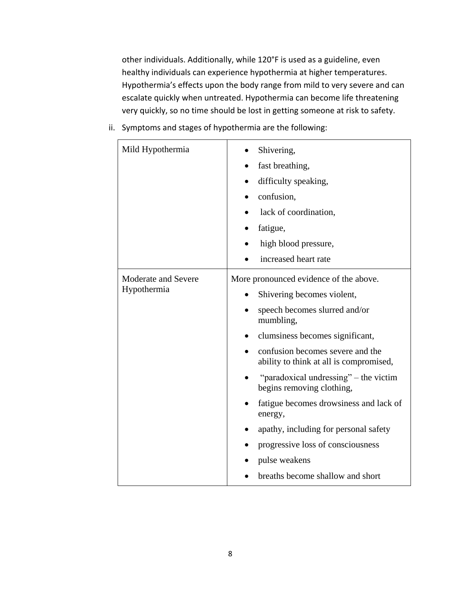other individuals. Additionally, while 120°F is used as a guideline, even healthy individuals can experience hypothermia at higher temperatures. Hypothermia's effects upon the body range from mild to very severe and can escalate quickly when untreated. Hypothermia can become life threatening very quickly, so no time should be lost in getting someone at risk to safety.

ii. Symptoms and stages of hypothermia are the following:

| Mild Hypothermia                             | Shivering,                                                                  |                                        |                       |
|----------------------------------------------|-----------------------------------------------------------------------------|----------------------------------------|-----------------------|
|                                              | fast breathing,<br>difficulty speaking,<br>confusion,                       |                                        |                       |
|                                              |                                                                             |                                        | lack of coordination, |
|                                              |                                                                             |                                        | fatigue,              |
|                                              | high blood pressure,                                                        |                                        |                       |
|                                              | increased heart rate                                                        |                                        |                       |
|                                              | Moderate and Severe<br>Hypothermia                                          | More pronounced evidence of the above. |                       |
|                                              |                                                                             | Shivering becomes violent,             |                       |
| speech becomes slurred and/or<br>mumbling,   |                                                                             |                                        |                       |
| clumsiness becomes significant,<br>$\bullet$ |                                                                             |                                        |                       |
|                                              | confusion becomes severe and the<br>ability to think at all is compromised, |                                        |                       |
|                                              | "paradoxical undressing" – the victim<br>begins removing clothing,          |                                        |                       |
|                                              | fatigue becomes drowsiness and lack of<br>energy,                           |                                        |                       |
|                                              | apathy, including for personal safety                                       |                                        |                       |
|                                              | progressive loss of consciousness                                           |                                        |                       |
|                                              | pulse weakens                                                               |                                        |                       |
|                                              | breaths become shallow and short                                            |                                        |                       |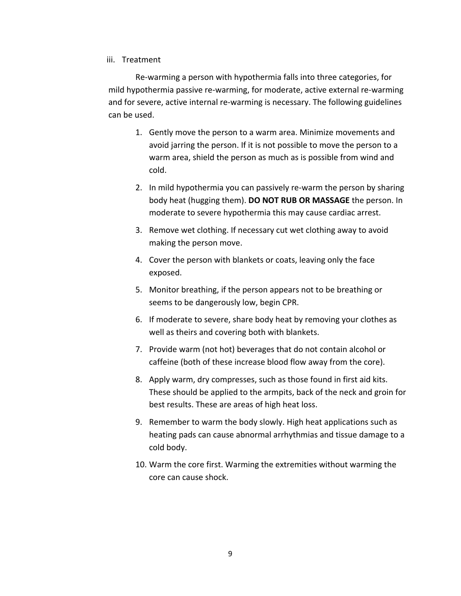#### iii. Treatment

Re-warming a person with hypothermia falls into three categories, for mild hypothermia passive re-warming, for moderate, active external re-warming and for severe, active internal re-warming is necessary. The following guidelines can be used.

- 1. Gently move the person to a warm area. Minimize movements and avoid jarring the person. If it is not possible to move the person to a warm area, shield the person as much as is possible from wind and cold.
- 2. In mild hypothermia you can passively re-warm the person by sharing body heat (hugging them). **DO NOT RUB OR MASSAGE** the person. In moderate to severe hypothermia this may cause cardiac arrest.
- 3. Remove wet clothing. If necessary cut wet clothing away to avoid making the person move.
- 4. Cover the person with blankets or coats, leaving only the face exposed.
- 5. Monitor breathing, if the person appears not to be breathing or seems to be dangerously low, begin CPR.
- 6. If moderate to severe, share body heat by removing your clothes as well as theirs and covering both with blankets.
- 7. Provide warm (not hot) beverages that do not contain alcohol or caffeine (both of these increase blood flow away from the core).
- 8. Apply warm, dry compresses, such as those found in first aid kits. These should be applied to the armpits, back of the neck and groin for best results. These are areas of high heat loss.
- 9. Remember to warm the body slowly. High heat applications such as heating pads can cause abnormal arrhythmias and tissue damage to a cold body.
- 10. Warm the core first. Warming the extremities without warming the core can cause shock.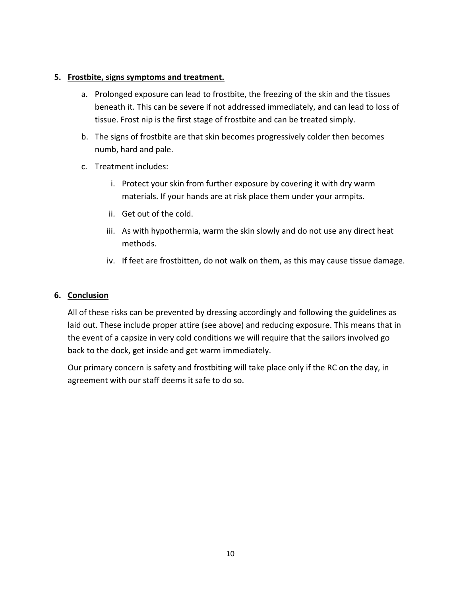#### **5. Frostbite, signs symptoms and treatment.**

- a. Prolonged exposure can lead to frostbite, the freezing of the skin and the tissues beneath it. This can be severe if not addressed immediately, and can lead to loss of tissue. Frost nip is the first stage of frostbite and can be treated simply.
- b. The signs of frostbite are that skin becomes progressively colder then becomes numb, hard and pale.
- c. Treatment includes:
	- i. Protect your skin from further exposure by covering it with dry warm materials. If your hands are at risk place them under your armpits.
	- ii. Get out of the cold.
	- iii. As with hypothermia, warm the skin slowly and do not use any direct heat methods.
	- iv. If feet are frostbitten, do not walk on them, as this may cause tissue damage.

#### **6. Conclusion**

All of these risks can be prevented by dressing accordingly and following the guidelines as laid out. These include proper attire (see above) and reducing exposure. This means that in the event of a capsize in very cold conditions we will require that the sailors involved go back to the dock, get inside and get warm immediately.

Our primary concern is safety and frostbiting will take place only if the RC on the day, in agreement with our staff deems it safe to do so.